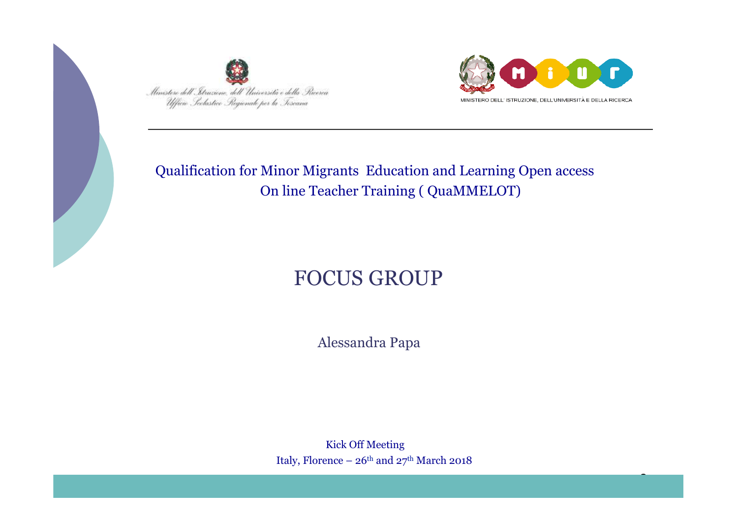



3

#### Qualification for Minor Migrants Education and Learning Open access On line Teacher Training ( QuaMMELOT)

# FOCUS GROUP

Alessandra Papa

 Kick Off Meeting Italy, Florence –  $26<sup>th</sup>$  and  $27<sup>th</sup>$  March 2018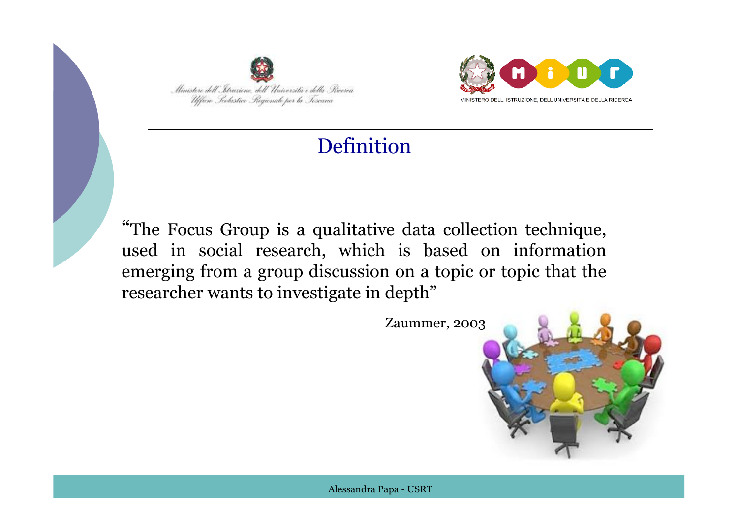



## Definition

-<br>י "The Focus Group is a qualitative data collection technique, used in social research, which is based on information emerging from a group discussion on a topic or topic that the researcher wants to investigate in depth"

Zaummer, 2003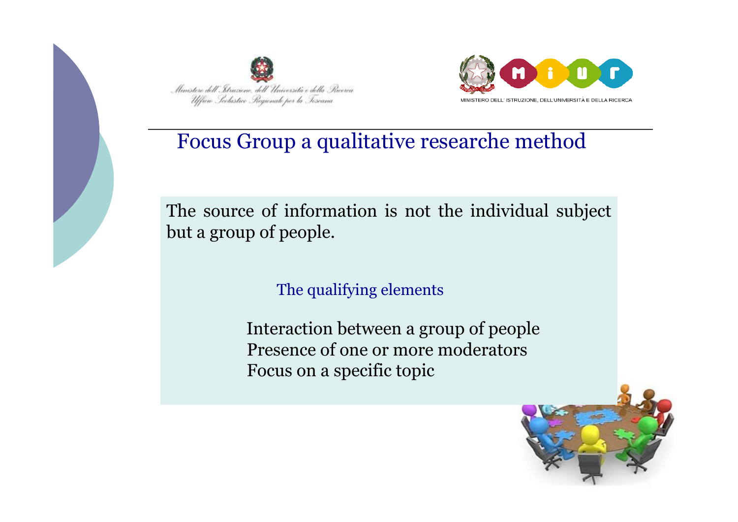



### Focus Group a qualitative researche method

The source of information is not the individual subject but a group of people.

The qualifying elements

 Interaction between a group of people Presence of one or more moderators Focus on a specific topic

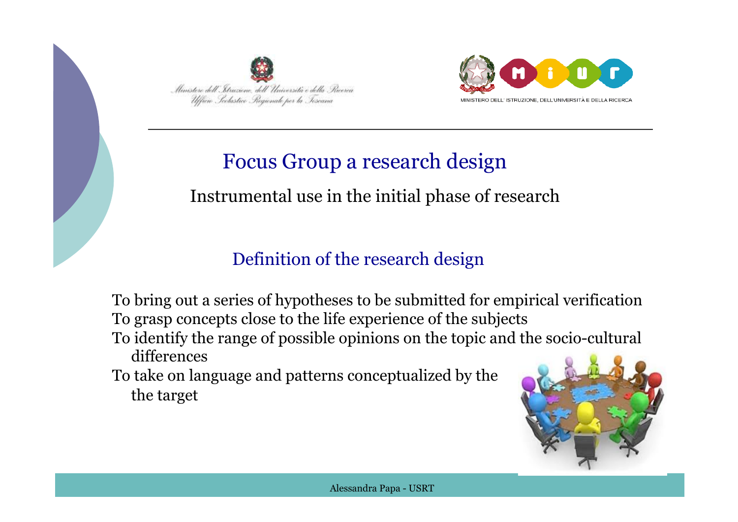



## Focus Group a research design

### Instrumental use in the initial phase of research

### Definition of the research design

 To bring out a series of hypotheses to be submitted for empirical verification To grasp concepts close to the life experience of the subjects

 To identify the range of possible opinions on the topic and the socio-cultural differences

 To take on language and patterns conceptualized by the the target

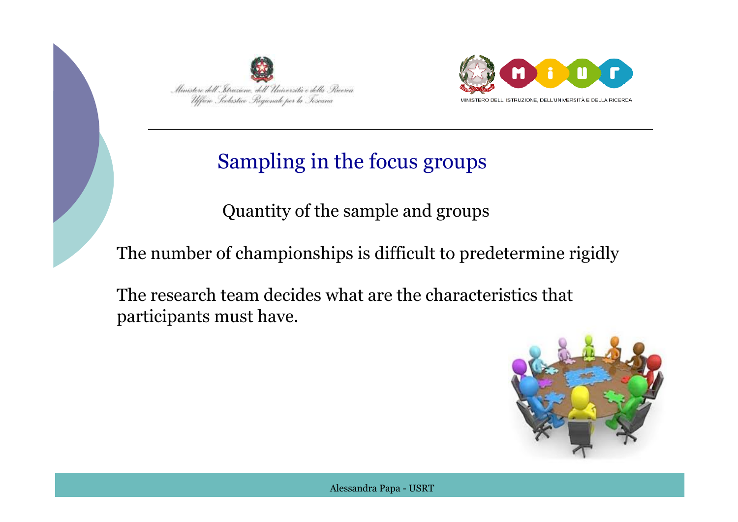



# Sampling in the focus groups

Quantity of the sample and groups

The number of championships is difficult to predetermine rigidly

 The research team decides what are the characteristics that participants must have.

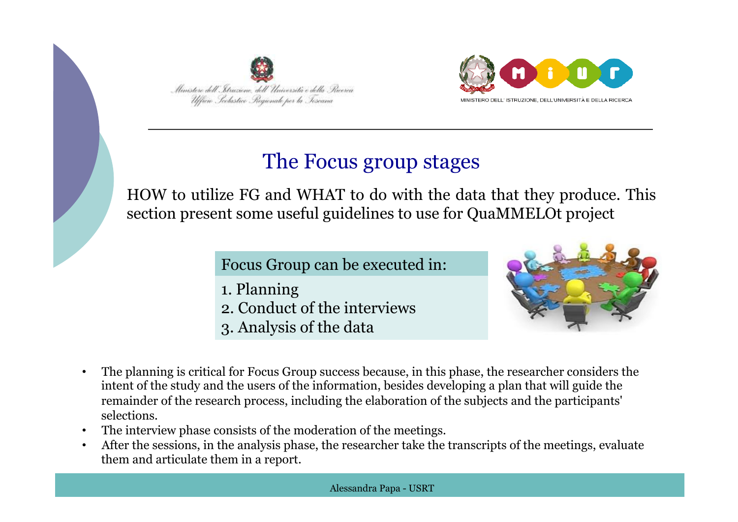



## The Focus group stages

HOW to utilize FG and WHAT to do with the data that they produce. This section present some useful guidelines to use for QuaMMELOt project

Focus Group can be executed in:

- 1. Planning
- 2. Conduct of the interviews
- 3. Analysis of the data



- The planning is critical for Focus Group success because, in this phase, the researcher considers the intent of the study and the users of the information, besides developing a plan that will guide the remainder of the research process, including the elaboration of the subjects and the participants' selections.
- The interview phase consists of the moderation of the meetings.
- After the sessions, in the analysis phase, the researcher take the transcripts of the meetings, evaluate them and articulate them in a report.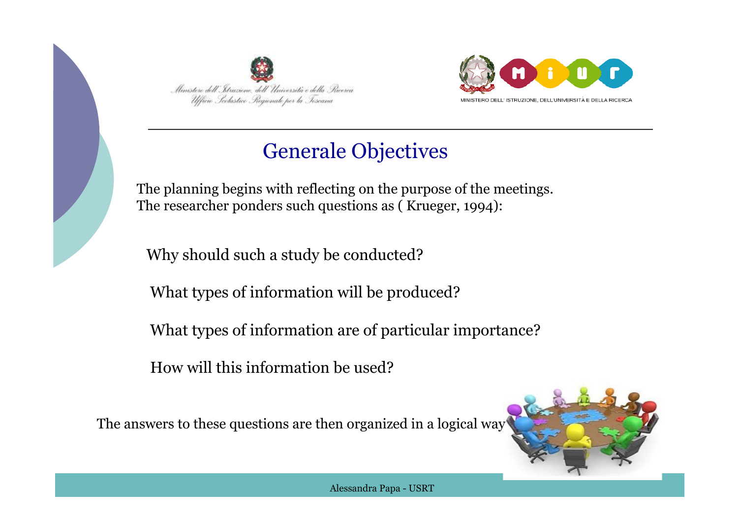



## Generale Objectives

The planning begins with reflecting on the purpose of the meetings. The researcher ponders such questions as ( Krueger, 1994):

Why should such a study be conducted?

 $\overline{1}$ What types of information will be produced?

What types of information are of particular importance?

How will this information be used?

The answers to these questions are then organized in a logical way

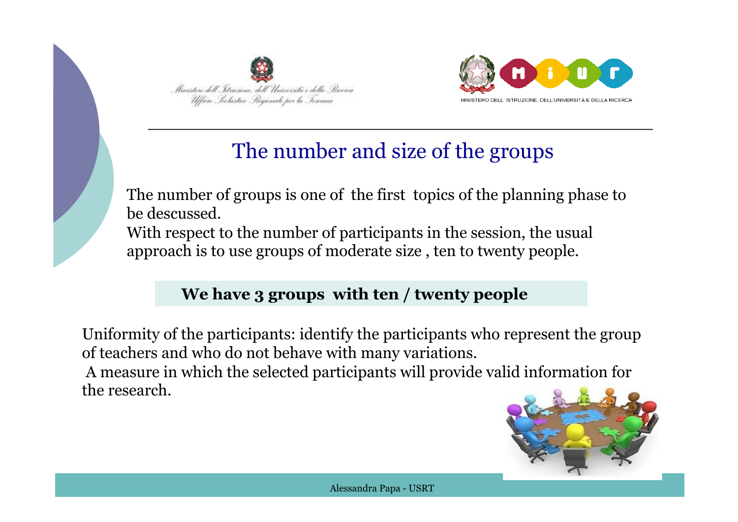



## The number and size of the groups

The number of groups is one of the first topics of the planning phase to be descussed. With respect to the number of participants in the session, the usual approach is to use groups of moderate size , ten to twenty people.

#### $\overline{ }$  **We have 3 groups with ten / twenty people**

Uniformity of the participants: identify the participants who represent the group of teachers and who do not behave with many variations. A measure in which the selected participants will provide valid information for the research.

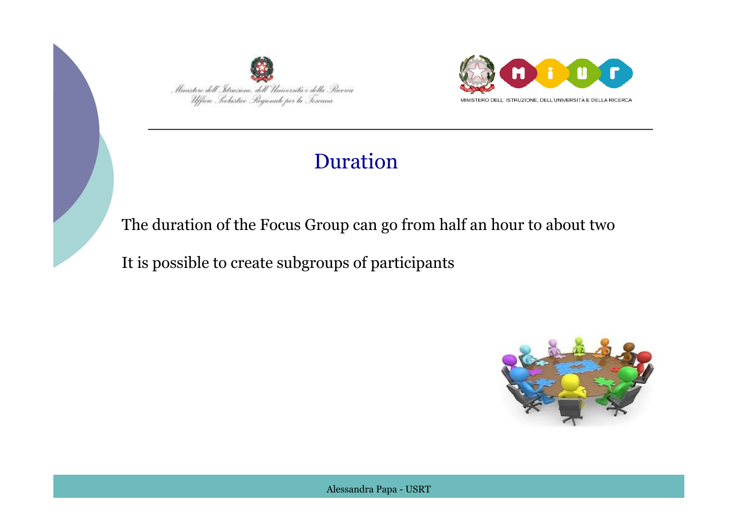



## Duration

The duration of the Focus Group can go from half an hour to about two

It is possible to create subgroups of participants

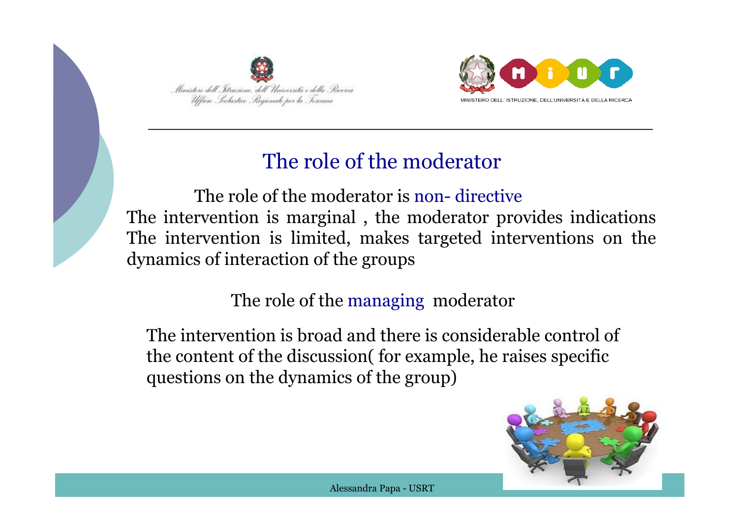



## The role of the moderator

 The role of the moderator is non- directive The intervention is marginal , the moderator provides indications The intervention is limited, makes targeted interventions on the dynamics of interaction of the groups

#### The role of the managing moderator

The intervention is broad and there is considerable control of the content of the discussion( for example, he raises specific questions on the dynamics of the group)

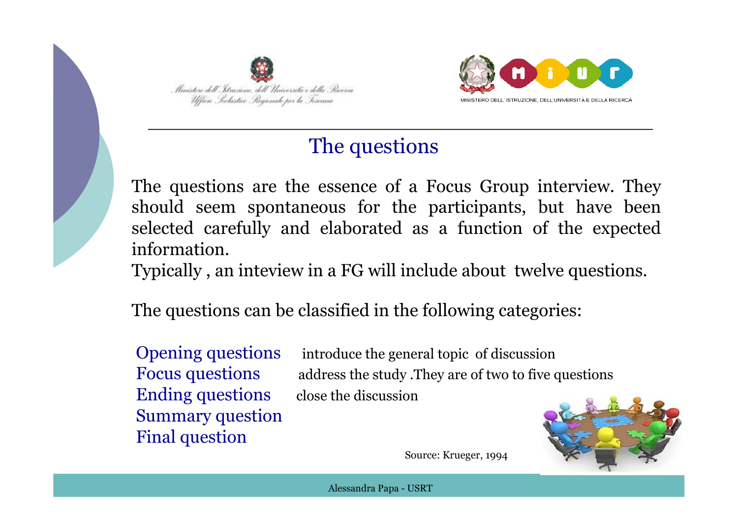



## The questions

The questions are the essence of a Focus Group interview. They should seem spontaneous for the participants, but have been selected carefully and elaborated as a function of the expected information.

Typically , an inteview in a FG will include about twelve questions.

The questions can be classified in the following categories:

Ending questions close the discussion Summary question Final question

Opening questions introduce the general topic of discussion Focus questions address the study .They are of two to five questions



Source: Krueger, 1994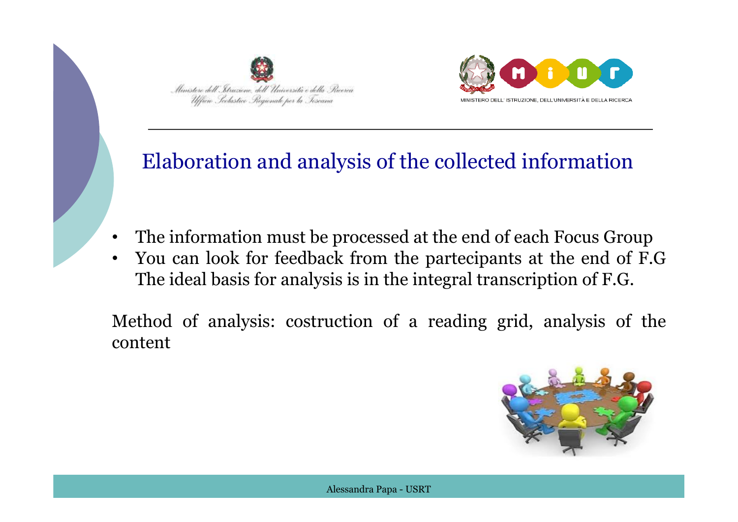



#### $\overline{a}$ Elaboration and analysis of the collected information

- The information must be processed at the end of each Focus Group
- The ideal basis for analysis is in the integral transcription of F.G. • You can look for feedback from the partecipants at the end of F.G

Method of analysis: costruction of a reading grid, analysis of the content

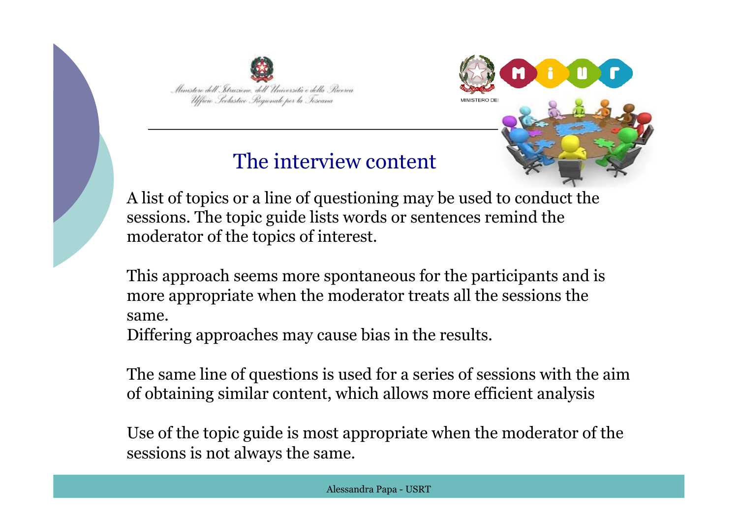



### The interview content

A list of topics or a line of questioning may be used to conduct the sessions. The topic guide lists words or sentences remind the moderator of the topics of interest.

 $\mathbf{r}$ This approach seems more spontaneous for the participants and is more appropriate when the moderator treats all the sessions the same.

Differing approaches may cause bias in the results.

The same line of questions is used for a series of sessions with the aim of obtaining similar content, which allows more efficient analysis

Use of the topic guide is most appropriate when the moderator of the sessions is not always the same.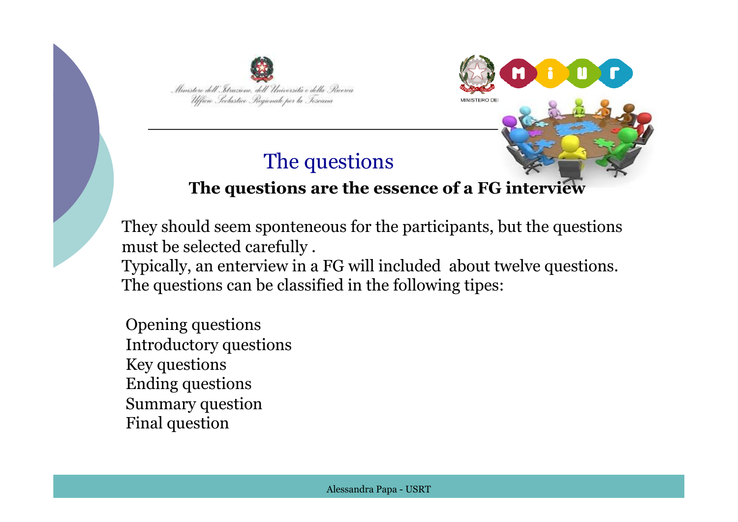



#### The questions

#### **The questions are the essence of a FG interview**

They should seem sponteneous for the participants, but the questions must be selected carefully .

 The questions can be classified in the following tipes: Typically, an enterview in a FG will included about twelve questions.

 Opening questions Introductory questions Key questions Ending questions Summary question Final question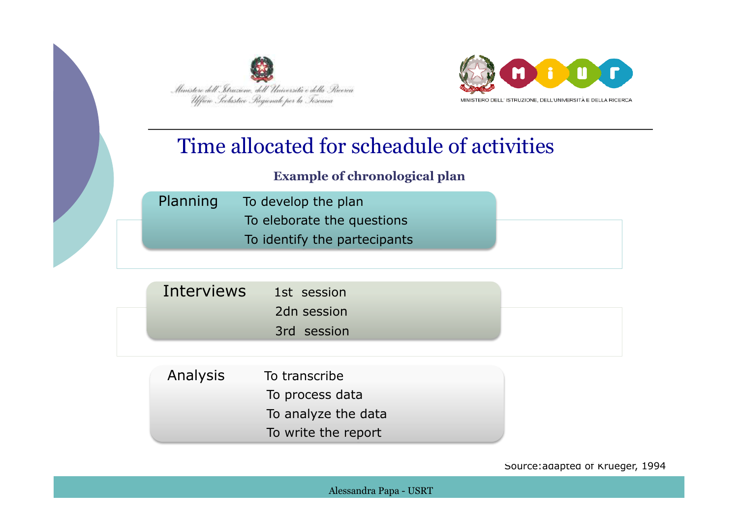

Ņ



#### Time allocated for scheadule of activities

#### **Example of chronological plan**

| Planning | To develop the plan          |
|----------|------------------------------|
|          | To eleborate the questions   |
|          | To identify the partecipants |

| 2dn session | Interviews 1st session |             |  |
|-------------|------------------------|-------------|--|
|             |                        |             |  |
|             |                        | 3rd session |  |

| Analysis | To transcribe       |
|----------|---------------------|
|          | To process data     |
|          | To analyze the data |
|          | To write the report |

Source:adapted of Krueger, 1994